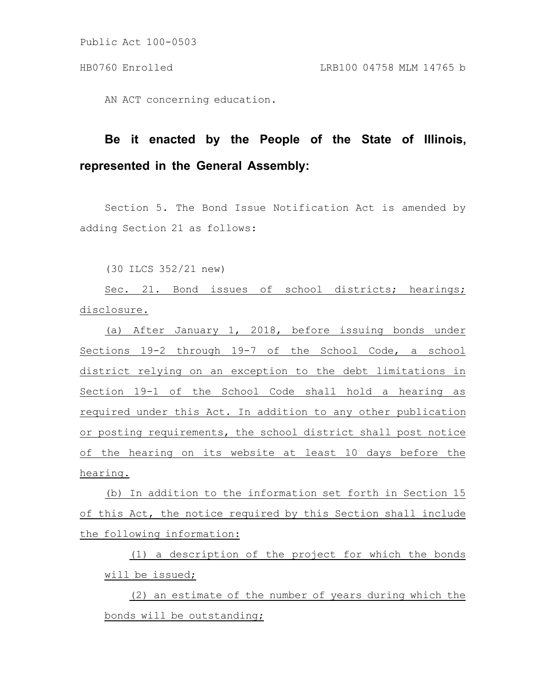AN ACT concerning education.

# **Be it enacted by the People of the State of Illinois, represented in the General Assembly:**

Section 5. The Bond Issue Notification Act is amended by adding Section 21 as follows:

(30 ILCS 352/21 new)

Sec. 21. Bond issues of school districts; hearings; disclosure.

(a) After January 1, 2018, before issuing bonds under Sections 19-2 through 19-7 of the School Code, a school district relying on an exception to the debt limitations in Section 19-1 of the School Code shall hold a hearing as required under this Act. In addition to any other publication or posting requirements, the school district shall post notice of the hearing on its website at least 10 days before the hearing.

(b) In addition to the information set forth in Section 15 of this Act, the notice required by this Section shall include the following information:

(1) a description of the project for which the bonds will be issued;

(2) an estimate of the number of years during which the bonds will be outstanding;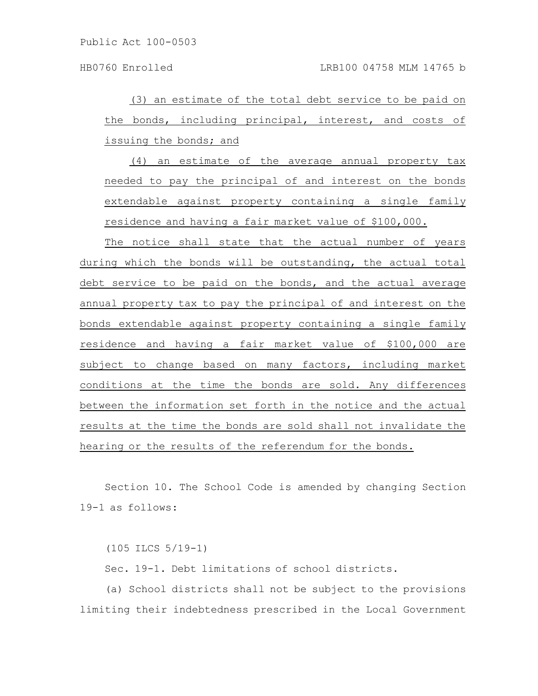(3) an estimate of the total debt service to be paid on the bonds, including principal, interest, and costs of issuing the bonds; and

(4) an estimate of the average annual property tax needed to pay the principal of and interest on the bonds extendable against property containing a single family residence and having a fair market value of \$100,000.

The notice shall state that the actual number of years during which the bonds will be outstanding, the actual total debt service to be paid on the bonds, and the actual average annual property tax to pay the principal of and interest on the bonds extendable against property containing a single family residence and having a fair market value of \$100,000 are subject to change based on many factors, including market conditions at the time the bonds are sold. Any differences between the information set forth in the notice and the actual results at the time the bonds are sold shall not invalidate the hearing or the results of the referendum for the bonds.

Section 10. The School Code is amended by changing Section 19-1 as follows:

(105 ILCS 5/19-1)

Sec. 19-1. Debt limitations of school districts.

(a) School districts shall not be subject to the provisions limiting their indebtedness prescribed in the Local Government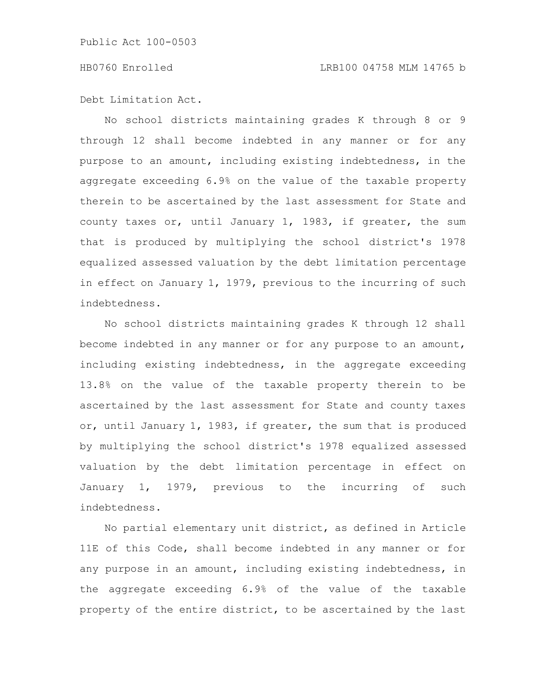Debt Limitation Act.

No school districts maintaining grades K through 8 or 9 through 12 shall become indebted in any manner or for any purpose to an amount, including existing indebtedness, in the aggregate exceeding 6.9% on the value of the taxable property therein to be ascertained by the last assessment for State and county taxes or, until January 1, 1983, if greater, the sum that is produced by multiplying the school district's 1978 equalized assessed valuation by the debt limitation percentage in effect on January 1, 1979, previous to the incurring of such indebtedness.

No school districts maintaining grades K through 12 shall become indebted in any manner or for any purpose to an amount, including existing indebtedness, in the aggregate exceeding 13.8% on the value of the taxable property therein to be ascertained by the last assessment for State and county taxes or, until January 1, 1983, if greater, the sum that is produced by multiplying the school district's 1978 equalized assessed valuation by the debt limitation percentage in effect on January 1, 1979, previous to the incurring of such indebtedness.

No partial elementary unit district, as defined in Article 11E of this Code, shall become indebted in any manner or for any purpose in an amount, including existing indebtedness, in the aggregate exceeding 6.9% of the value of the taxable property of the entire district, to be ascertained by the last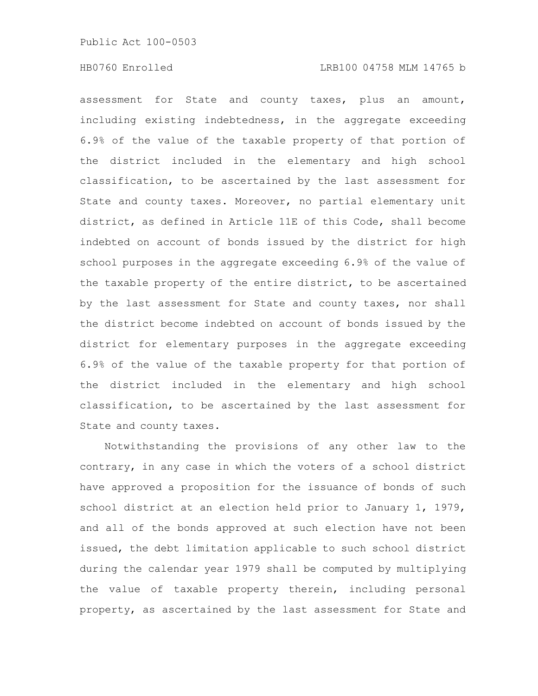#### HB0760 Enrolled LRB100 04758 MLM 14765 b

assessment for State and county taxes, plus an amount, including existing indebtedness, in the aggregate exceeding 6.9% of the value of the taxable property of that portion of the district included in the elementary and high school classification, to be ascertained by the last assessment for State and county taxes. Moreover, no partial elementary unit district, as defined in Article 11E of this Code, shall become indebted on account of bonds issued by the district for high school purposes in the aggregate exceeding 6.9% of the value of the taxable property of the entire district, to be ascertained by the last assessment for State and county taxes, nor shall the district become indebted on account of bonds issued by the district for elementary purposes in the aggregate exceeding 6.9% of the value of the taxable property for that portion of the district included in the elementary and high school classification, to be ascertained by the last assessment for State and county taxes.

Notwithstanding the provisions of any other law to the contrary, in any case in which the voters of a school district have approved a proposition for the issuance of bonds of such school district at an election held prior to January 1, 1979, and all of the bonds approved at such election have not been issued, the debt limitation applicable to such school district during the calendar year 1979 shall be computed by multiplying the value of taxable property therein, including personal property, as ascertained by the last assessment for State and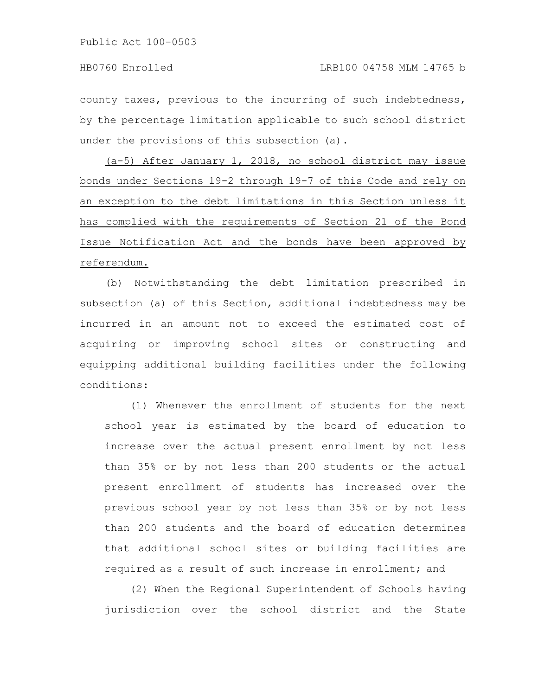county taxes, previous to the incurring of such indebtedness, by the percentage limitation applicable to such school district under the provisions of this subsection (a).

(a-5) After January 1, 2018, no school district may issue bonds under Sections 19-2 through 19-7 of this Code and rely on an exception to the debt limitations in this Section unless it has complied with the requirements of Section 21 of the Bond Issue Notification Act and the bonds have been approved by referendum.

(b) Notwithstanding the debt limitation prescribed in subsection (a) of this Section, additional indebtedness may be incurred in an amount not to exceed the estimated cost of acquiring or improving school sites or constructing and equipping additional building facilities under the following conditions:

(1) Whenever the enrollment of students for the next school year is estimated by the board of education to increase over the actual present enrollment by not less than 35% or by not less than 200 students or the actual present enrollment of students has increased over the previous school year by not less than 35% or by not less than 200 students and the board of education determines that additional school sites or building facilities are required as a result of such increase in enrollment; and

(2) When the Regional Superintendent of Schools having jurisdiction over the school district and the State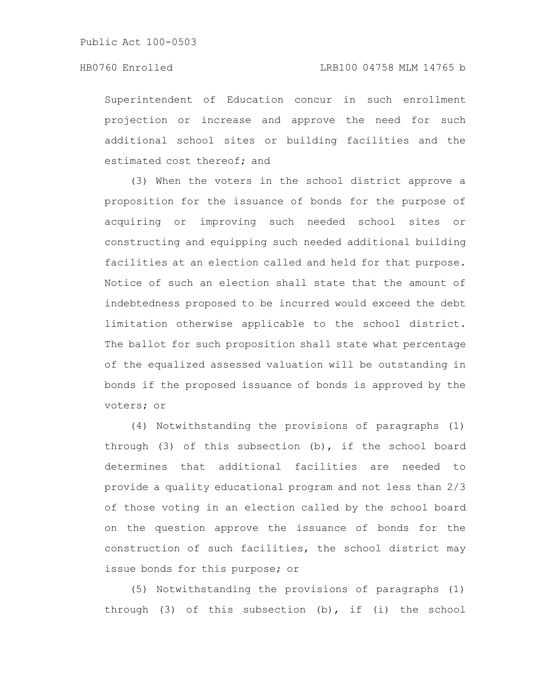Superintendent of Education concur in such enrollment projection or increase and approve the need for such additional school sites or building facilities and the estimated cost thereof; and

(3) When the voters in the school district approve a proposition for the issuance of bonds for the purpose of acquiring or improving such needed school sites or constructing and equipping such needed additional building facilities at an election called and held for that purpose. Notice of such an election shall state that the amount of indebtedness proposed to be incurred would exceed the debt limitation otherwise applicable to the school district. The ballot for such proposition shall state what percentage of the equalized assessed valuation will be outstanding in bonds if the proposed issuance of bonds is approved by the voters; or

(4) Notwithstanding the provisions of paragraphs (1) through (3) of this subsection (b), if the school board determines that additional facilities are needed to provide a quality educational program and not less than 2/3 of those voting in an election called by the school board on the question approve the issuance of bonds for the construction of such facilities, the school district may issue bonds for this purpose; or

(5) Notwithstanding the provisions of paragraphs (1) through (3) of this subsection (b), if (i) the school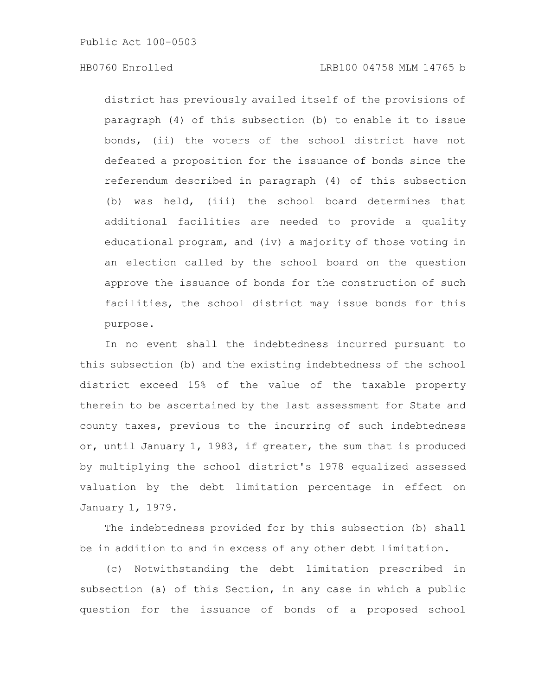### HB0760 Enrolled LRB100 04758 MLM 14765 b

district has previously availed itself of the provisions of paragraph (4) of this subsection (b) to enable it to issue bonds, (ii) the voters of the school district have not defeated a proposition for the issuance of bonds since the referendum described in paragraph (4) of this subsection (b) was held, (iii) the school board determines that additional facilities are needed to provide a quality educational program, and (iv) a majority of those voting in an election called by the school board on the question approve the issuance of bonds for the construction of such facilities, the school district may issue bonds for this purpose.

In no event shall the indebtedness incurred pursuant to this subsection (b) and the existing indebtedness of the school district exceed 15% of the value of the taxable property therein to be ascertained by the last assessment for State and county taxes, previous to the incurring of such indebtedness or, until January 1, 1983, if greater, the sum that is produced by multiplying the school district's 1978 equalized assessed valuation by the debt limitation percentage in effect on January 1, 1979.

The indebtedness provided for by this subsection (b) shall be in addition to and in excess of any other debt limitation.

(c) Notwithstanding the debt limitation prescribed in subsection (a) of this Section, in any case in which a public question for the issuance of bonds of a proposed school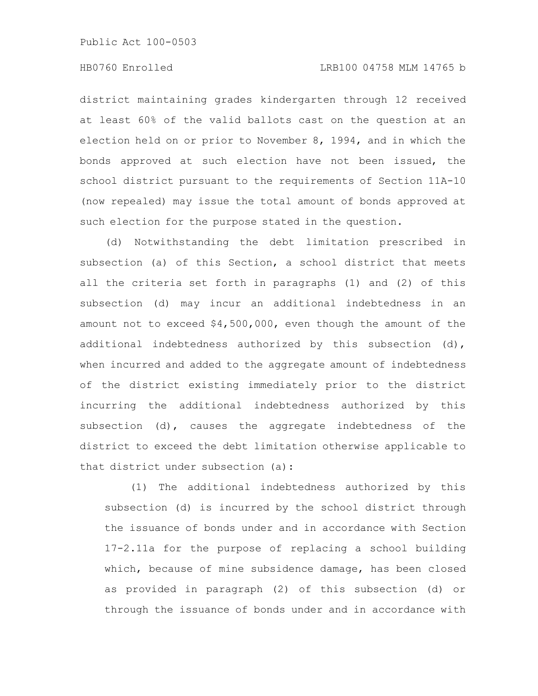district maintaining grades kindergarten through 12 received at least 60% of the valid ballots cast on the question at an election held on or prior to November 8, 1994, and in which the bonds approved at such election have not been issued, the school district pursuant to the requirements of Section 11A-10 (now repealed) may issue the total amount of bonds approved at such election for the purpose stated in the question.

(d) Notwithstanding the debt limitation prescribed in subsection (a) of this Section, a school district that meets all the criteria set forth in paragraphs (1) and (2) of this subsection (d) may incur an additional indebtedness in an amount not to exceed \$4,500,000, even though the amount of the additional indebtedness authorized by this subsection (d), when incurred and added to the aggregate amount of indebtedness of the district existing immediately prior to the district incurring the additional indebtedness authorized by this subsection (d), causes the aggregate indebtedness of the district to exceed the debt limitation otherwise applicable to that district under subsection (a):

(1) The additional indebtedness authorized by this subsection (d) is incurred by the school district through the issuance of bonds under and in accordance with Section 17-2.11a for the purpose of replacing a school building which, because of mine subsidence damage, has been closed as provided in paragraph (2) of this subsection (d) or through the issuance of bonds under and in accordance with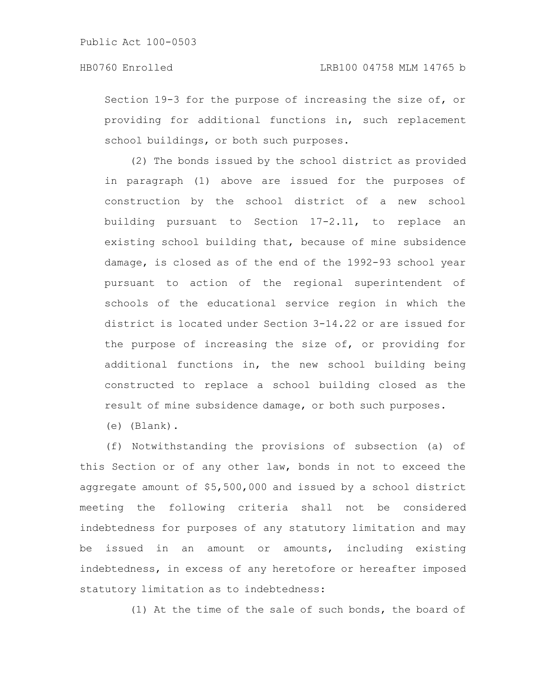Section 19-3 for the purpose of increasing the size of, or providing for additional functions in, such replacement school buildings, or both such purposes.

(2) The bonds issued by the school district as provided in paragraph (1) above are issued for the purposes of construction by the school district of a new school building pursuant to Section 17-2.11, to replace an existing school building that, because of mine subsidence damage, is closed as of the end of the 1992-93 school year pursuant to action of the regional superintendent of schools of the educational service region in which the district is located under Section 3-14.22 or are issued for the purpose of increasing the size of, or providing for additional functions in, the new school building being constructed to replace a school building closed as the result of mine subsidence damage, or both such purposes.

(e) (Blank).

(f) Notwithstanding the provisions of subsection (a) of this Section or of any other law, bonds in not to exceed the aggregate amount of \$5,500,000 and issued by a school district meeting the following criteria shall not be considered indebtedness for purposes of any statutory limitation and may be issued in an amount or amounts, including existing indebtedness, in excess of any heretofore or hereafter imposed statutory limitation as to indebtedness:

(1) At the time of the sale of such bonds, the board of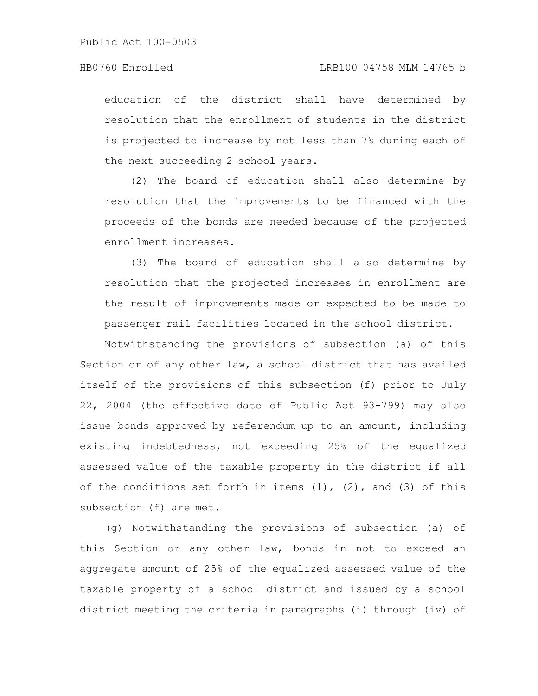education of the district shall have determined by resolution that the enrollment of students in the district is projected to increase by not less than 7% during each of the next succeeding 2 school years.

(2) The board of education shall also determine by resolution that the improvements to be financed with the proceeds of the bonds are needed because of the projected enrollment increases.

(3) The board of education shall also determine by resolution that the projected increases in enrollment are the result of improvements made or expected to be made to passenger rail facilities located in the school district.

Notwithstanding the provisions of subsection (a) of this Section or of any other law, a school district that has availed itself of the provisions of this subsection (f) prior to July 22, 2004 (the effective date of Public Act 93-799) may also issue bonds approved by referendum up to an amount, including existing indebtedness, not exceeding 25% of the equalized assessed value of the taxable property in the district if all of the conditions set forth in items  $(1)$ ,  $(2)$ , and  $(3)$  of this subsection (f) are met.

(g) Notwithstanding the provisions of subsection (a) of this Section or any other law, bonds in not to exceed an aggregate amount of 25% of the equalized assessed value of the taxable property of a school district and issued by a school district meeting the criteria in paragraphs (i) through (iv) of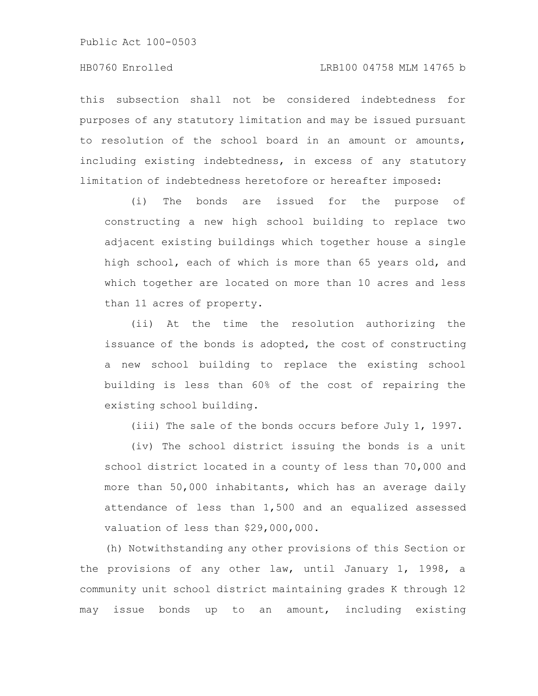### HB0760 Enrolled LRB100 04758 MLM 14765 b

this subsection shall not be considered indebtedness for purposes of any statutory limitation and may be issued pursuant to resolution of the school board in an amount or amounts, including existing indebtedness, in excess of any statutory limitation of indebtedness heretofore or hereafter imposed:

(i) The bonds are issued for the purpose of constructing a new high school building to replace two adjacent existing buildings which together house a single high school, each of which is more than 65 years old, and which together are located on more than 10 acres and less than 11 acres of property.

(ii) At the time the resolution authorizing the issuance of the bonds is adopted, the cost of constructing a new school building to replace the existing school building is less than 60% of the cost of repairing the existing school building.

(iii) The sale of the bonds occurs before July 1, 1997.

(iv) The school district issuing the bonds is a unit school district located in a county of less than 70,000 and more than 50,000 inhabitants, which has an average daily attendance of less than 1,500 and an equalized assessed valuation of less than \$29,000,000.

(h) Notwithstanding any other provisions of this Section or the provisions of any other law, until January 1, 1998, a community unit school district maintaining grades K through 12 may issue bonds up to an amount, including existing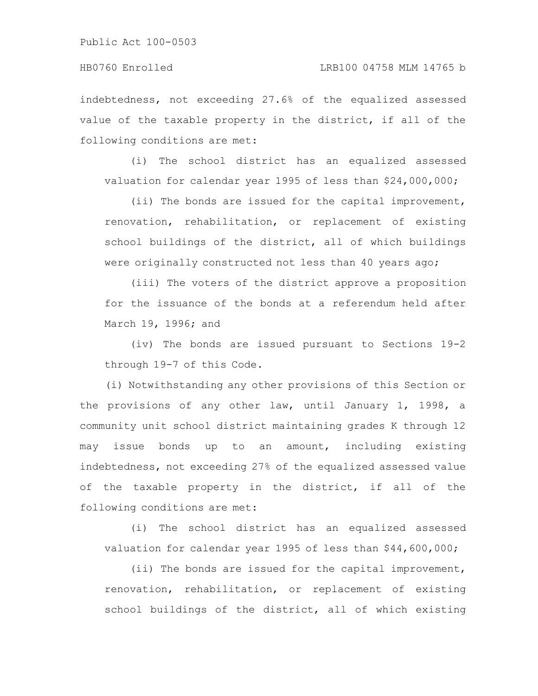#### HB0760 Enrolled LRB100 04758 MLM 14765 b

indebtedness, not exceeding 27.6% of the equalized assessed value of the taxable property in the district, if all of the following conditions are met:

(i) The school district has an equalized assessed valuation for calendar year 1995 of less than \$24,000,000;

(ii) The bonds are issued for the capital improvement, renovation, rehabilitation, or replacement of existing school buildings of the district, all of which buildings were originally constructed not less than 40 years ago;

(iii) The voters of the district approve a proposition for the issuance of the bonds at a referendum held after March 19, 1996; and

(iv) The bonds are issued pursuant to Sections 19-2 through 19-7 of this Code.

(i) Notwithstanding any other provisions of this Section or the provisions of any other law, until January 1, 1998, a community unit school district maintaining grades K through 12 may issue bonds up to an amount, including existing indebtedness, not exceeding 27% of the equalized assessed value of the taxable property in the district, if all of the following conditions are met:

(i) The school district has an equalized assessed valuation for calendar year 1995 of less than \$44,600,000;

(ii) The bonds are issued for the capital improvement, renovation, rehabilitation, or replacement of existing school buildings of the district, all of which existing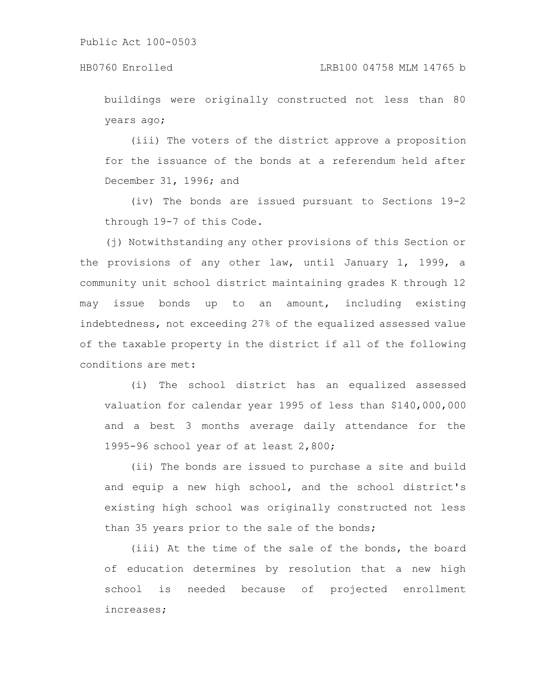buildings were originally constructed not less than 80 years ago;

(iii) The voters of the district approve a proposition for the issuance of the bonds at a referendum held after December 31, 1996; and

(iv) The bonds are issued pursuant to Sections 19-2 through 19-7 of this Code.

(j) Notwithstanding any other provisions of this Section or the provisions of any other law, until January 1, 1999, a community unit school district maintaining grades K through 12 may issue bonds up to an amount, including existing indebtedness, not exceeding 27% of the equalized assessed value of the taxable property in the district if all of the following conditions are met:

(i) The school district has an equalized assessed valuation for calendar year 1995 of less than \$140,000,000 and a best 3 months average daily attendance for the 1995-96 school year of at least 2,800;

(ii) The bonds are issued to purchase a site and build and equip a new high school, and the school district's existing high school was originally constructed not less than 35 years prior to the sale of the bonds;

(iii) At the time of the sale of the bonds, the board of education determines by resolution that a new high school is needed because of projected enrollment increases;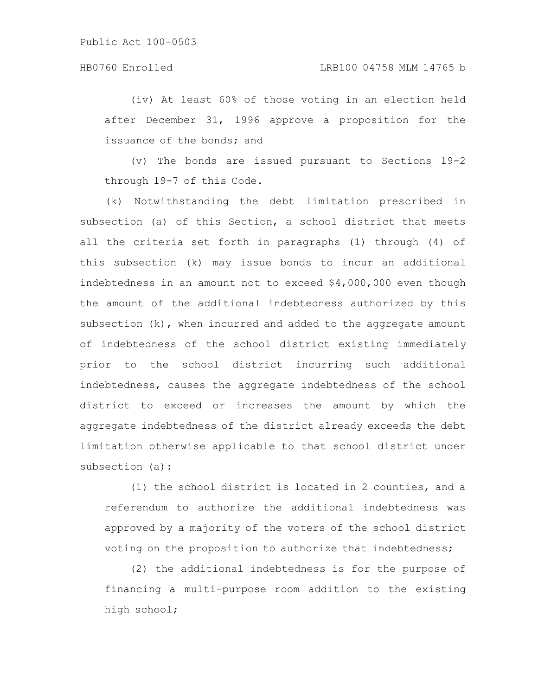(iv) At least 60% of those voting in an election held after December 31, 1996 approve a proposition for the issuance of the bonds; and

(v) The bonds are issued pursuant to Sections 19-2 through 19-7 of this Code.

(k) Notwithstanding the debt limitation prescribed in subsection (a) of this Section, a school district that meets all the criteria set forth in paragraphs (1) through (4) of this subsection (k) may issue bonds to incur an additional indebtedness in an amount not to exceed \$4,000,000 even though the amount of the additional indebtedness authorized by this subsection (k), when incurred and added to the aggregate amount of indebtedness of the school district existing immediately prior to the school district incurring such additional indebtedness, causes the aggregate indebtedness of the school district to exceed or increases the amount by which the aggregate indebtedness of the district already exceeds the debt limitation otherwise applicable to that school district under subsection (a):

(1) the school district is located in 2 counties, and a referendum to authorize the additional indebtedness was approved by a majority of the voters of the school district voting on the proposition to authorize that indebtedness;

(2) the additional indebtedness is for the purpose of financing a multi-purpose room addition to the existing high school;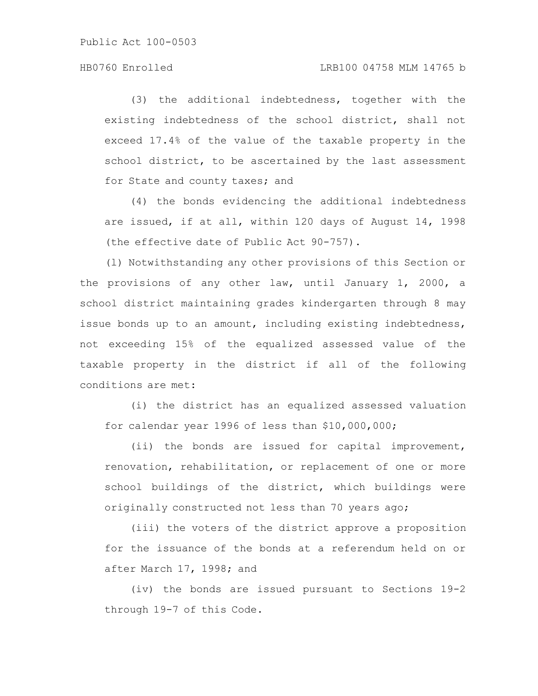(3) the additional indebtedness, together with the existing indebtedness of the school district, shall not exceed 17.4% of the value of the taxable property in the school district, to be ascertained by the last assessment for State and county taxes; and

(4) the bonds evidencing the additional indebtedness are issued, if at all, within 120 days of August 14, 1998 (the effective date of Public Act 90-757).

(l) Notwithstanding any other provisions of this Section or the provisions of any other law, until January 1, 2000, a school district maintaining grades kindergarten through 8 may issue bonds up to an amount, including existing indebtedness, not exceeding 15% of the equalized assessed value of the taxable property in the district if all of the following conditions are met:

(i) the district has an equalized assessed valuation for calendar year 1996 of less than \$10,000,000;

(ii) the bonds are issued for capital improvement, renovation, rehabilitation, or replacement of one or more school buildings of the district, which buildings were originally constructed not less than 70 years ago;

(iii) the voters of the district approve a proposition for the issuance of the bonds at a referendum held on or after March 17, 1998; and

(iv) the bonds are issued pursuant to Sections 19-2 through 19-7 of this Code.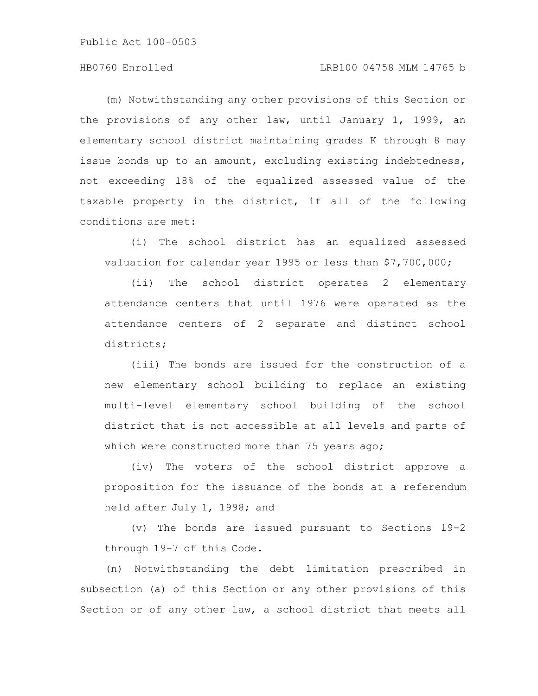#### HB0760 Enrolled LRB100 04758 MLM 14765 b

(m) Notwithstanding any other provisions of this Section or the provisions of any other law, until January 1, 1999, an elementary school district maintaining grades K through 8 may issue bonds up to an amount, excluding existing indebtedness, not exceeding 18% of the equalized assessed value of the taxable property in the district, if all of the following conditions are met:

(i) The school district has an equalized assessed valuation for calendar year 1995 or less than \$7,700,000;

(ii) The school district operates 2 elementary attendance centers that until 1976 were operated as the attendance centers of 2 separate and distinct school districts;

(iii) The bonds are issued for the construction of a new elementary school building to replace an existing multi-level elementary school building of the school district that is not accessible at all levels and parts of which were constructed more than 75 years ago;

(iv) The voters of the school district approve a proposition for the issuance of the bonds at a referendum held after July 1, 1998; and

(v) The bonds are issued pursuant to Sections 19-2 through 19-7 of this Code.

(n) Notwithstanding the debt limitation prescribed in subsection (a) of this Section or any other provisions of this Section or of any other law, a school district that meets all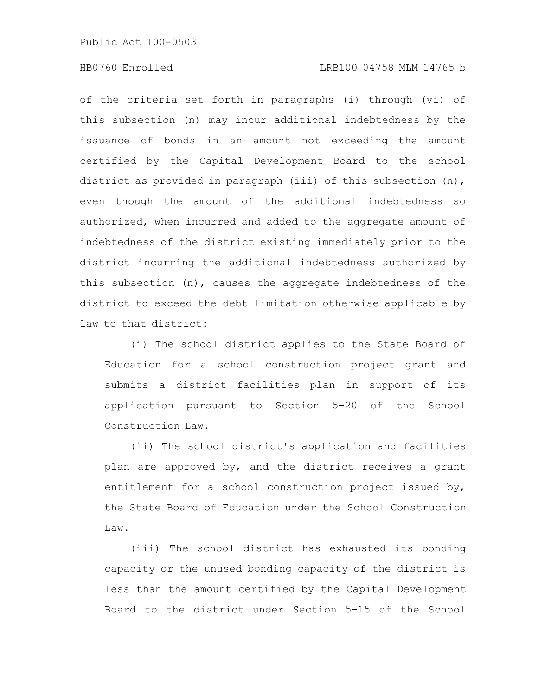#### HB0760 Enrolled LRB100 04758 MLM 14765 b

of the criteria set forth in paragraphs (i) through (vi) of this subsection (n) may incur additional indebtedness by the issuance of bonds in an amount not exceeding the amount certified by the Capital Development Board to the school district as provided in paragraph (iii) of this subsection (n), even though the amount of the additional indebtedness so authorized, when incurred and added to the aggregate amount of indebtedness of the district existing immediately prior to the district incurring the additional indebtedness authorized by this subsection (n), causes the aggregate indebtedness of the district to exceed the debt limitation otherwise applicable by law to that district:

(i) The school district applies to the State Board of Education for a school construction project grant and submits a district facilities plan in support of its application pursuant to Section 5-20 of the School Construction Law.

(ii) The school district's application and facilities plan are approved by, and the district receives a grant entitlement for a school construction project issued by, the State Board of Education under the School Construction Law.

(iii) The school district has exhausted its bonding capacity or the unused bonding capacity of the district is less than the amount certified by the Capital Development Board to the district under Section 5-15 of the School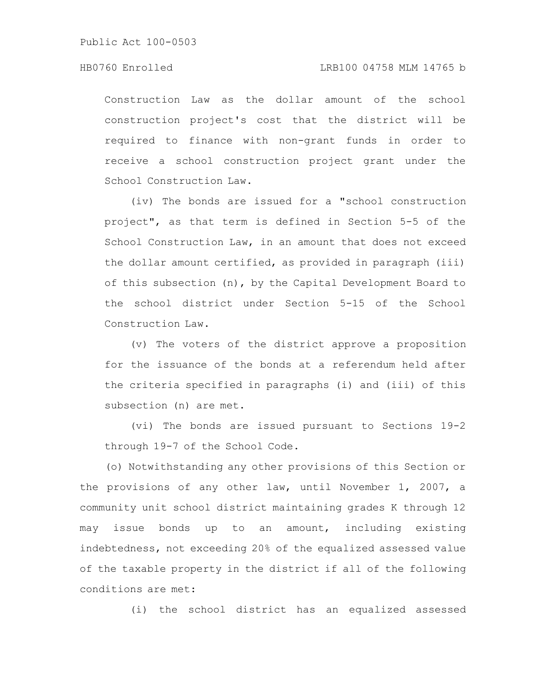Construction Law as the dollar amount of the school construction project's cost that the district will be required to finance with non-grant funds in order to receive a school construction project grant under the School Construction Law.

(iv) The bonds are issued for a "school construction project", as that term is defined in Section 5-5 of the School Construction Law, in an amount that does not exceed the dollar amount certified, as provided in paragraph (iii) of this subsection (n), by the Capital Development Board to the school district under Section 5-15 of the School Construction Law.

(v) The voters of the district approve a proposition for the issuance of the bonds at a referendum held after the criteria specified in paragraphs (i) and (iii) of this subsection (n) are met.

(vi) The bonds are issued pursuant to Sections 19-2 through 19-7 of the School Code.

(o) Notwithstanding any other provisions of this Section or the provisions of any other law, until November 1, 2007, a community unit school district maintaining grades K through 12 may issue bonds up to an amount, including existing indebtedness, not exceeding 20% of the equalized assessed value of the taxable property in the district if all of the following conditions are met:

(i) the school district has an equalized assessed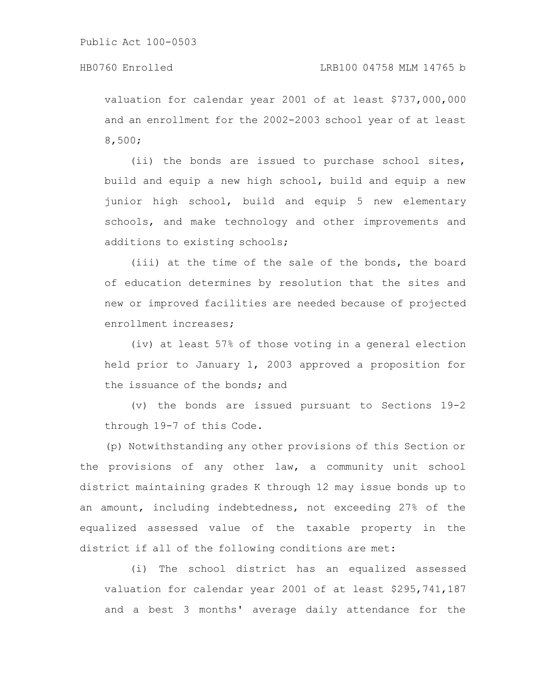valuation for calendar year 2001 of at least \$737,000,000 and an enrollment for the 2002-2003 school year of at least 8,500;

(ii) the bonds are issued to purchase school sites, build and equip a new high school, build and equip a new junior high school, build and equip 5 new elementary schools, and make technology and other improvements and additions to existing schools;

(iii) at the time of the sale of the bonds, the board of education determines by resolution that the sites and new or improved facilities are needed because of projected enrollment increases;

(iv) at least 57% of those voting in a general election held prior to January 1, 2003 approved a proposition for the issuance of the bonds; and

(v) the bonds are issued pursuant to Sections 19-2 through 19-7 of this Code.

(p) Notwithstanding any other provisions of this Section or the provisions of any other law, a community unit school district maintaining grades K through 12 may issue bonds up to an amount, including indebtedness, not exceeding 27% of the equalized assessed value of the taxable property in the district if all of the following conditions are met:

(i) The school district has an equalized assessed valuation for calendar year 2001 of at least \$295,741,187 and a best 3 months' average daily attendance for the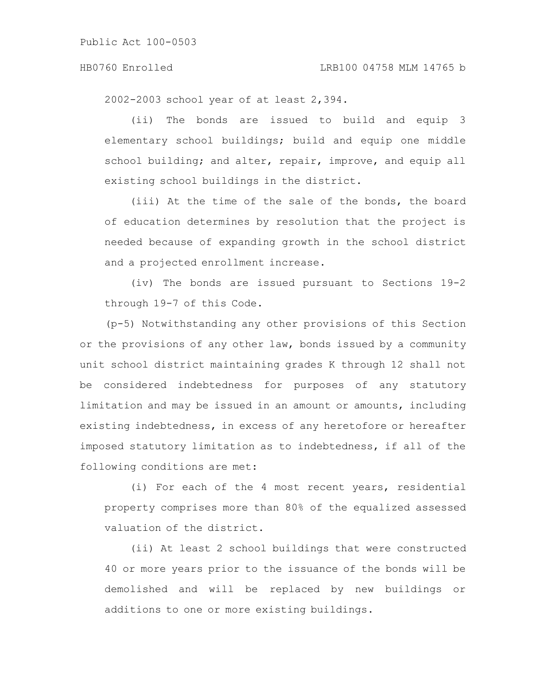2002-2003 school year of at least 2,394.

(ii) The bonds are issued to build and equip 3 elementary school buildings; build and equip one middle school building; and alter, repair, improve, and equip all existing school buildings in the district.

(iii) At the time of the sale of the bonds, the board of education determines by resolution that the project is needed because of expanding growth in the school district and a projected enrollment increase.

(iv) The bonds are issued pursuant to Sections 19-2 through 19-7 of this Code.

(p-5) Notwithstanding any other provisions of this Section or the provisions of any other law, bonds issued by a community unit school district maintaining grades K through 12 shall not be considered indebtedness for purposes of any statutory limitation and may be issued in an amount or amounts, including existing indebtedness, in excess of any heretofore or hereafter imposed statutory limitation as to indebtedness, if all of the following conditions are met:

(i) For each of the 4 most recent years, residential property comprises more than 80% of the equalized assessed valuation of the district.

(ii) At least 2 school buildings that were constructed 40 or more years prior to the issuance of the bonds will be demolished and will be replaced by new buildings or additions to one or more existing buildings.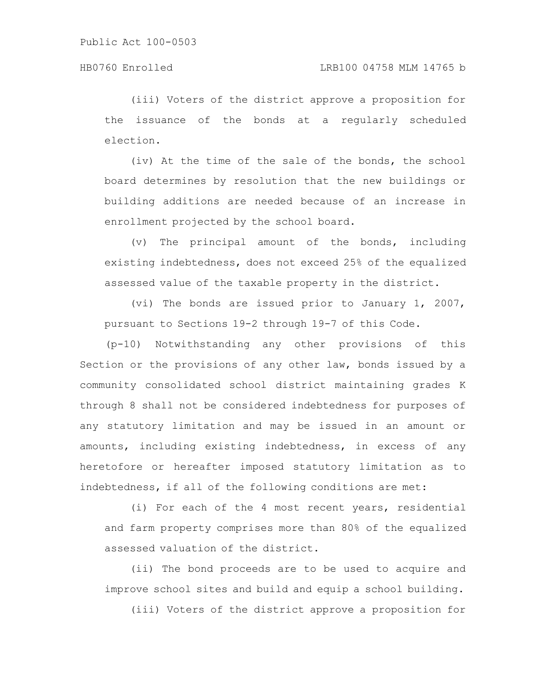(iii) Voters of the district approve a proposition for the issuance of the bonds at a regularly scheduled election.

(iv) At the time of the sale of the bonds, the school board determines by resolution that the new buildings or building additions are needed because of an increase in enrollment projected by the school board.

(v) The principal amount of the bonds, including existing indebtedness, does not exceed 25% of the equalized assessed value of the taxable property in the district.

(vi) The bonds are issued prior to January 1, 2007, pursuant to Sections 19-2 through 19-7 of this Code.

(p-10) Notwithstanding any other provisions of this Section or the provisions of any other law, bonds issued by a community consolidated school district maintaining grades K through 8 shall not be considered indebtedness for purposes of any statutory limitation and may be issued in an amount or amounts, including existing indebtedness, in excess of any heretofore or hereafter imposed statutory limitation as to indebtedness, if all of the following conditions are met:

(i) For each of the 4 most recent years, residential and farm property comprises more than 80% of the equalized assessed valuation of the district.

(ii) The bond proceeds are to be used to acquire and improve school sites and build and equip a school building.

(iii) Voters of the district approve a proposition for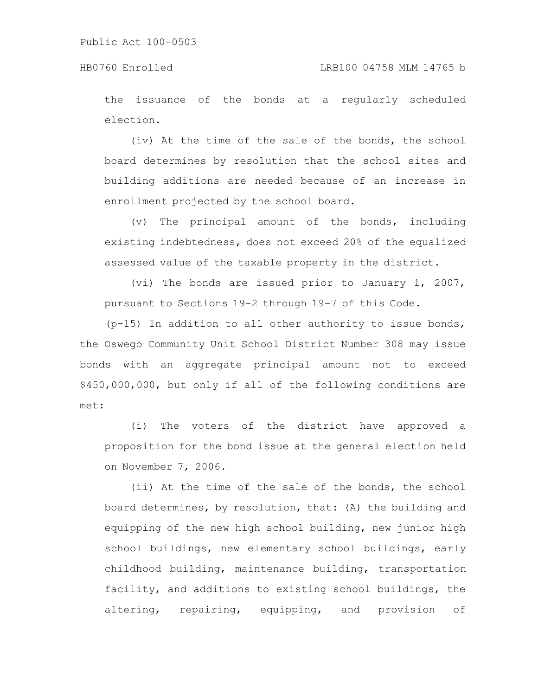### HB0760 Enrolled LRB100 04758 MLM 14765 b

the issuance of the bonds at a regularly scheduled election.

(iv) At the time of the sale of the bonds, the school board determines by resolution that the school sites and building additions are needed because of an increase in enrollment projected by the school board.

(v) The principal amount of the bonds, including existing indebtedness, does not exceed 20% of the equalized assessed value of the taxable property in the district.

(vi) The bonds are issued prior to January 1, 2007, pursuant to Sections 19-2 through 19-7 of this Code.

(p-15) In addition to all other authority to issue bonds, the Oswego Community Unit School District Number 308 may issue bonds with an aggregate principal amount not to exceed \$450,000,000, but only if all of the following conditions are met:

(i) The voters of the district have approved a proposition for the bond issue at the general election held on November 7, 2006.

(ii) At the time of the sale of the bonds, the school board determines, by resolution, that: (A) the building and equipping of the new high school building, new junior high school buildings, new elementary school buildings, early childhood building, maintenance building, transportation facility, and additions to existing school buildings, the altering, repairing, equipping, and provision of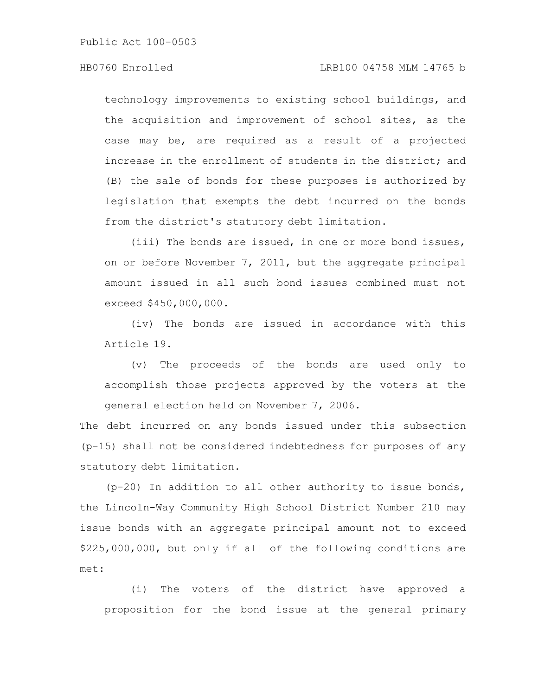### HB0760 Enrolled LRB100 04758 MLM 14765 b

technology improvements to existing school buildings, and the acquisition and improvement of school sites, as the case may be, are required as a result of a projected increase in the enrollment of students in the district; and (B) the sale of bonds for these purposes is authorized by legislation that exempts the debt incurred on the bonds from the district's statutory debt limitation.

(iii) The bonds are issued, in one or more bond issues, on or before November 7, 2011, but the aggregate principal amount issued in all such bond issues combined must not exceed \$450,000,000.

(iv) The bonds are issued in accordance with this Article 19.

(v) The proceeds of the bonds are used only to accomplish those projects approved by the voters at the general election held on November 7, 2006.

The debt incurred on any bonds issued under this subsection (p-15) shall not be considered indebtedness for purposes of any statutory debt limitation.

(p-20) In addition to all other authority to issue bonds, the Lincoln-Way Community High School District Number 210 may issue bonds with an aggregate principal amount not to exceed \$225,000,000, but only if all of the following conditions are met:

(i) The voters of the district have approved a proposition for the bond issue at the general primary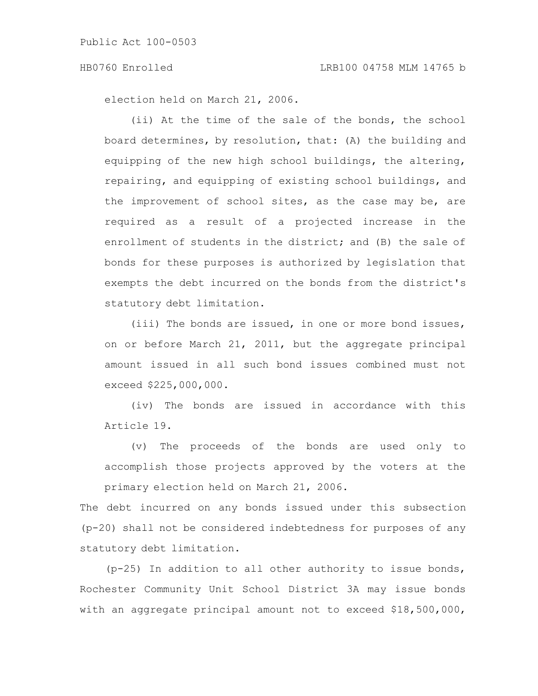election held on March 21, 2006.

(ii) At the time of the sale of the bonds, the school board determines, by resolution, that: (A) the building and equipping of the new high school buildings, the altering, repairing, and equipping of existing school buildings, and the improvement of school sites, as the case may be, are required as a result of a projected increase in the enrollment of students in the district; and (B) the sale of bonds for these purposes is authorized by legislation that exempts the debt incurred on the bonds from the district's statutory debt limitation.

(iii) The bonds are issued, in one or more bond issues, on or before March 21, 2011, but the aggregate principal amount issued in all such bond issues combined must not exceed \$225,000,000.

(iv) The bonds are issued in accordance with this Article 19.

(v) The proceeds of the bonds are used only to accomplish those projects approved by the voters at the primary election held on March 21, 2006.

The debt incurred on any bonds issued under this subsection (p-20) shall not be considered indebtedness for purposes of any statutory debt limitation.

(p-25) In addition to all other authority to issue bonds, Rochester Community Unit School District 3A may issue bonds with an aggregate principal amount not to exceed \$18,500,000,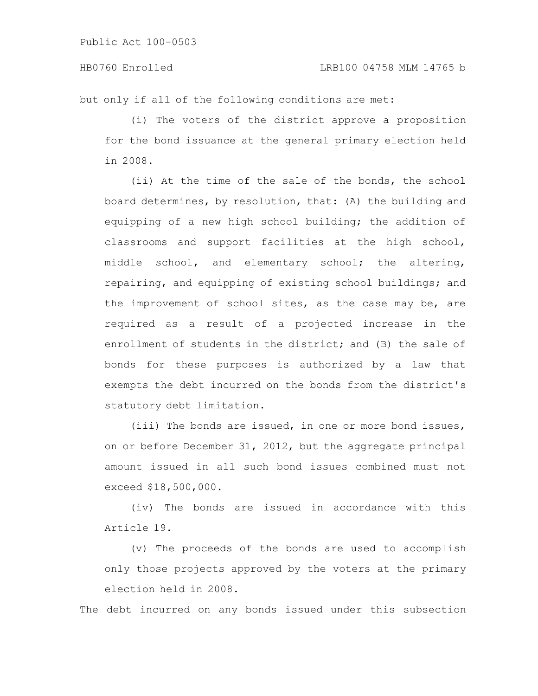but only if all of the following conditions are met:

(i) The voters of the district approve a proposition for the bond issuance at the general primary election held in 2008.

(ii) At the time of the sale of the bonds, the school board determines, by resolution, that: (A) the building and equipping of a new high school building; the addition of classrooms and support facilities at the high school, middle school, and elementary school; the altering, repairing, and equipping of existing school buildings; and the improvement of school sites, as the case may be, are required as a result of a projected increase in the enrollment of students in the district; and (B) the sale of bonds for these purposes is authorized by a law that exempts the debt incurred on the bonds from the district's statutory debt limitation.

(iii) The bonds are issued, in one or more bond issues, on or before December 31, 2012, but the aggregate principal amount issued in all such bond issues combined must not exceed \$18,500,000.

(iv) The bonds are issued in accordance with this Article 19.

(v) The proceeds of the bonds are used to accomplish only those projects approved by the voters at the primary election held in 2008.

The debt incurred on any bonds issued under this subsection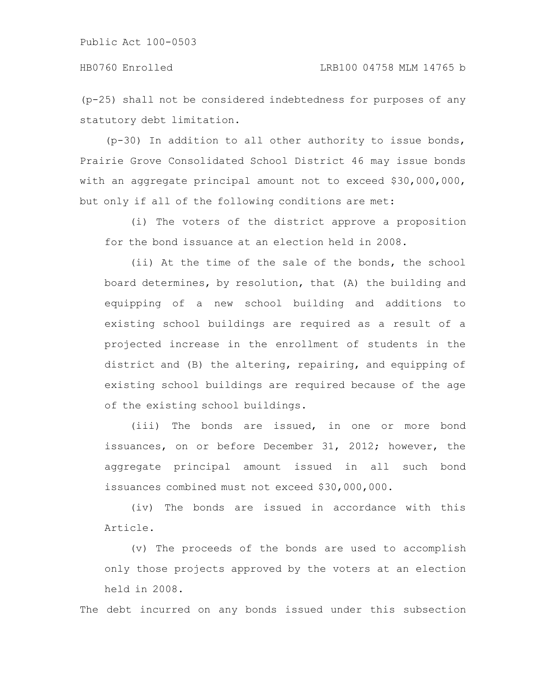(p-25) shall not be considered indebtedness for purposes of any statutory debt limitation.

(p-30) In addition to all other authority to issue bonds, Prairie Grove Consolidated School District 46 may issue bonds with an aggregate principal amount not to exceed \$30,000,000, but only if all of the following conditions are met:

(i) The voters of the district approve a proposition for the bond issuance at an election held in 2008.

(ii) At the time of the sale of the bonds, the school board determines, by resolution, that (A) the building and equipping of a new school building and additions to existing school buildings are required as a result of a projected increase in the enrollment of students in the district and (B) the altering, repairing, and equipping of existing school buildings are required because of the age of the existing school buildings.

(iii) The bonds are issued, in one or more bond issuances, on or before December 31, 2012; however, the aggregate principal amount issued in all such bond issuances combined must not exceed \$30,000,000.

(iv) The bonds are issued in accordance with this Article.

(v) The proceeds of the bonds are used to accomplish only those projects approved by the voters at an election held in 2008.

The debt incurred on any bonds issued under this subsection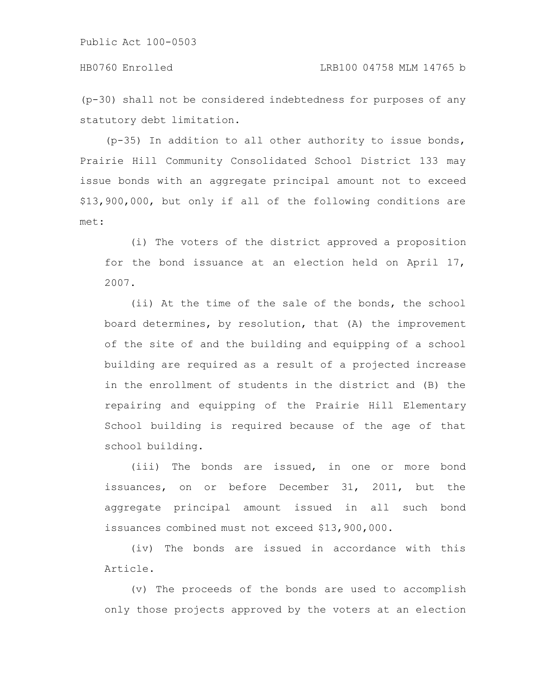(p-30) shall not be considered indebtedness for purposes of any statutory debt limitation.

(p-35) In addition to all other authority to issue bonds, Prairie Hill Community Consolidated School District 133 may issue bonds with an aggregate principal amount not to exceed \$13,900,000, but only if all of the following conditions are met:

(i) The voters of the district approved a proposition for the bond issuance at an election held on April 17, 2007.

(ii) At the time of the sale of the bonds, the school board determines, by resolution, that (A) the improvement of the site of and the building and equipping of a school building are required as a result of a projected increase in the enrollment of students in the district and (B) the repairing and equipping of the Prairie Hill Elementary School building is required because of the age of that school building.

(iii) The bonds are issued, in one or more bond issuances, on or before December 31, 2011, but the aggregate principal amount issued in all such bond issuances combined must not exceed \$13,900,000.

(iv) The bonds are issued in accordance with this Article.

(v) The proceeds of the bonds are used to accomplish only those projects approved by the voters at an election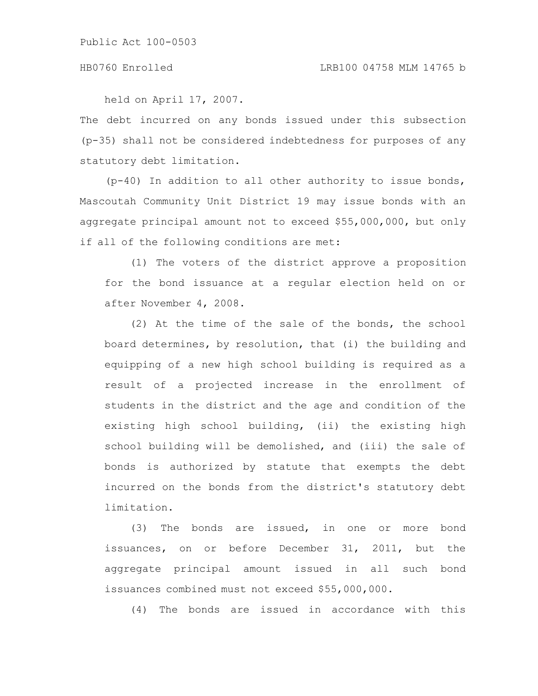held on April 17, 2007.

The debt incurred on any bonds issued under this subsection (p-35) shall not be considered indebtedness for purposes of any statutory debt limitation.

(p-40) In addition to all other authority to issue bonds, Mascoutah Community Unit District 19 may issue bonds with an aggregate principal amount not to exceed \$55,000,000, but only if all of the following conditions are met:

(1) The voters of the district approve a proposition for the bond issuance at a regular election held on or after November 4, 2008.

(2) At the time of the sale of the bonds, the school board determines, by resolution, that (i) the building and equipping of a new high school building is required as a result of a projected increase in the enrollment of students in the district and the age and condition of the existing high school building, (ii) the existing high school building will be demolished, and (iii) the sale of bonds is authorized by statute that exempts the debt incurred on the bonds from the district's statutory debt limitation.

(3) The bonds are issued, in one or more bond issuances, on or before December 31, 2011, but the aggregate principal amount issued in all such bond issuances combined must not exceed \$55,000,000.

(4) The bonds are issued in accordance with this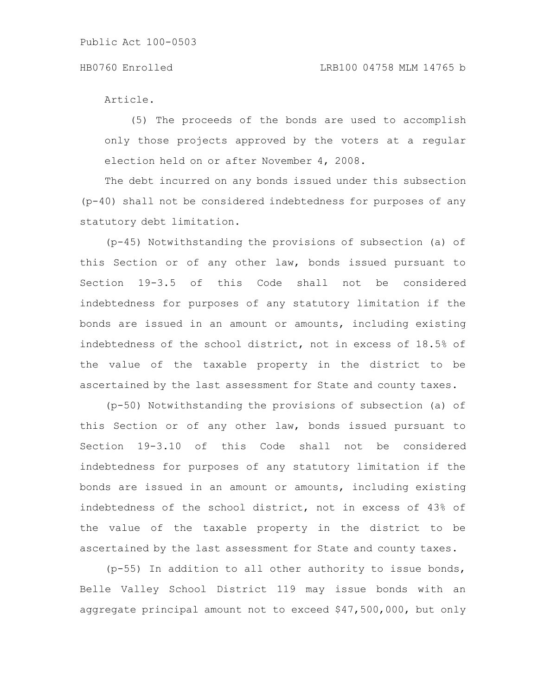#### HB0760 Enrolled LRB100 04758 MLM 14765 b

Article.

(5) The proceeds of the bonds are used to accomplish only those projects approved by the voters at a regular election held on or after November 4, 2008.

The debt incurred on any bonds issued under this subsection (p-40) shall not be considered indebtedness for purposes of any statutory debt limitation.

(p-45) Notwithstanding the provisions of subsection (a) of this Section or of any other law, bonds issued pursuant to Section 19-3.5 of this Code shall not be considered indebtedness for purposes of any statutory limitation if the bonds are issued in an amount or amounts, including existing indebtedness of the school district, not in excess of 18.5% of the value of the taxable property in the district to be ascertained by the last assessment for State and county taxes.

(p-50) Notwithstanding the provisions of subsection (a) of this Section or of any other law, bonds issued pursuant to Section 19-3.10 of this Code shall not be considered indebtedness for purposes of any statutory limitation if the bonds are issued in an amount or amounts, including existing indebtedness of the school district, not in excess of 43% of the value of the taxable property in the district to be ascertained by the last assessment for State and county taxes.

(p-55) In addition to all other authority to issue bonds, Belle Valley School District 119 may issue bonds with an aggregate principal amount not to exceed \$47,500,000, but only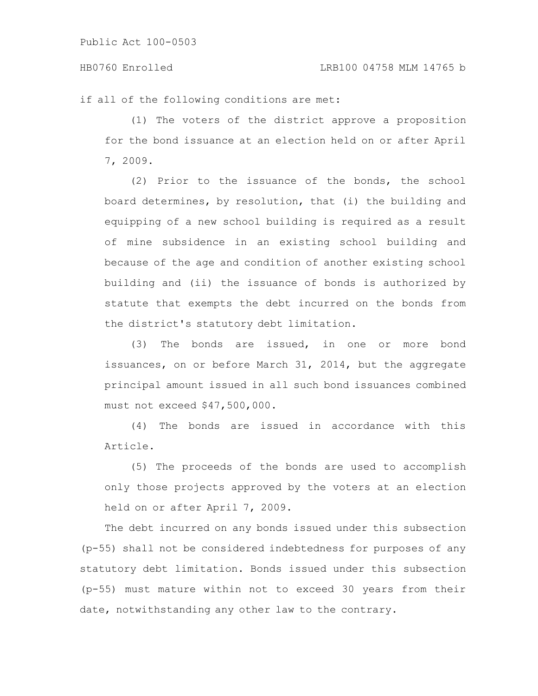#### HB0760 Enrolled LRB100 04758 MLM 14765 b

if all of the following conditions are met:

(1) The voters of the district approve a proposition for the bond issuance at an election held on or after April 7, 2009.

(2) Prior to the issuance of the bonds, the school board determines, by resolution, that (i) the building and equipping of a new school building is required as a result of mine subsidence in an existing school building and because of the age and condition of another existing school building and (ii) the issuance of bonds is authorized by statute that exempts the debt incurred on the bonds from the district's statutory debt limitation.

(3) The bonds are issued, in one or more bond issuances, on or before March 31, 2014, but the aggregate principal amount issued in all such bond issuances combined must not exceed \$47,500,000.

(4) The bonds are issued in accordance with this Article.

(5) The proceeds of the bonds are used to accomplish only those projects approved by the voters at an election held on or after April 7, 2009.

The debt incurred on any bonds issued under this subsection (p-55) shall not be considered indebtedness for purposes of any statutory debt limitation. Bonds issued under this subsection (p-55) must mature within not to exceed 30 years from their date, notwithstanding any other law to the contrary.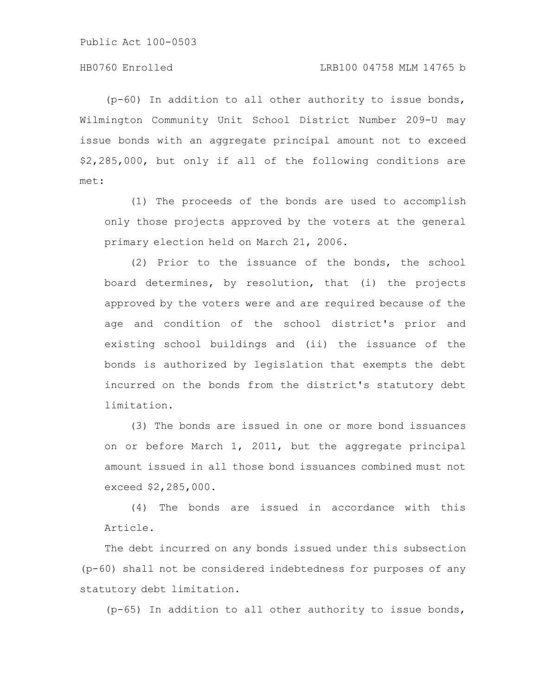(p-60) In addition to all other authority to issue bonds, Wilmington Community Unit School District Number 209-U may issue bonds with an aggregate principal amount not to exceed \$2,285,000, but only if all of the following conditions are met:

(1) The proceeds of the bonds are used to accomplish only those projects approved by the voters at the general primary election held on March 21, 2006.

(2) Prior to the issuance of the bonds, the school board determines, by resolution, that (i) the projects approved by the voters were and are required because of the age and condition of the school district's prior and existing school buildings and (ii) the issuance of the bonds is authorized by legislation that exempts the debt incurred on the bonds from the district's statutory debt limitation.

(3) The bonds are issued in one or more bond issuances on or before March 1, 2011, but the aggregate principal amount issued in all those bond issuances combined must not exceed \$2,285,000.

(4) The bonds are issued in accordance with this Article.

The debt incurred on any bonds issued under this subsection (p-60) shall not be considered indebtedness for purposes of any statutory debt limitation.

(p-65) In addition to all other authority to issue bonds,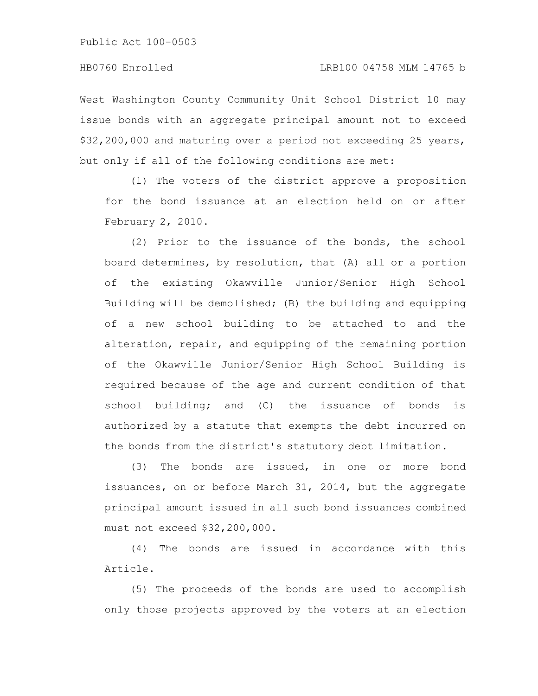West Washington County Community Unit School District 10 may issue bonds with an aggregate principal amount not to exceed \$32,200,000 and maturing over a period not exceeding 25 years, but only if all of the following conditions are met:

(1) The voters of the district approve a proposition for the bond issuance at an election held on or after February 2, 2010.

(2) Prior to the issuance of the bonds, the school board determines, by resolution, that (A) all or a portion of the existing Okawville Junior/Senior High School Building will be demolished; (B) the building and equipping of a new school building to be attached to and the alteration, repair, and equipping of the remaining portion of the Okawville Junior/Senior High School Building is required because of the age and current condition of that school building; and (C) the issuance of bonds is authorized by a statute that exempts the debt incurred on the bonds from the district's statutory debt limitation.

(3) The bonds are issued, in one or more bond issuances, on or before March 31, 2014, but the aggregate principal amount issued in all such bond issuances combined must not exceed \$32,200,000.

(4) The bonds are issued in accordance with this Article.

(5) The proceeds of the bonds are used to accomplish only those projects approved by the voters at an election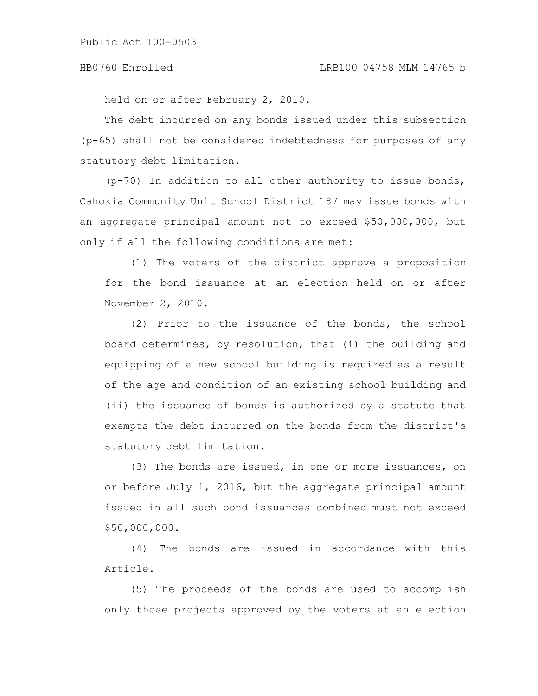held on or after February 2, 2010.

The debt incurred on any bonds issued under this subsection (p-65) shall not be considered indebtedness for purposes of any statutory debt limitation.

(p-70) In addition to all other authority to issue bonds, Cahokia Community Unit School District 187 may issue bonds with an aggregate principal amount not to exceed \$50,000,000, but only if all the following conditions are met:

(1) The voters of the district approve a proposition for the bond issuance at an election held on or after November 2, 2010.

(2) Prior to the issuance of the bonds, the school board determines, by resolution, that (i) the building and equipping of a new school building is required as a result of the age and condition of an existing school building and (ii) the issuance of bonds is authorized by a statute that exempts the debt incurred on the bonds from the district's statutory debt limitation.

(3) The bonds are issued, in one or more issuances, on or before July 1, 2016, but the aggregate principal amount issued in all such bond issuances combined must not exceed \$50,000,000.

(4) The bonds are issued in accordance with this Article.

(5) The proceeds of the bonds are used to accomplish only those projects approved by the voters at an election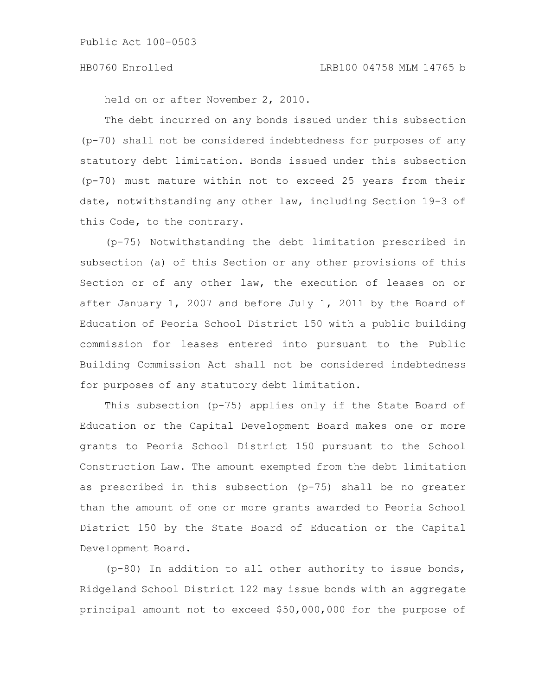held on or after November 2, 2010.

The debt incurred on any bonds issued under this subsection (p-70) shall not be considered indebtedness for purposes of any statutory debt limitation. Bonds issued under this subsection (p-70) must mature within not to exceed 25 years from their date, notwithstanding any other law, including Section 19-3 of this Code, to the contrary.

(p-75) Notwithstanding the debt limitation prescribed in subsection (a) of this Section or any other provisions of this Section or of any other law, the execution of leases on or after January 1, 2007 and before July 1, 2011 by the Board of Education of Peoria School District 150 with a public building commission for leases entered into pursuant to the Public Building Commission Act shall not be considered indebtedness for purposes of any statutory debt limitation.

This subsection (p-75) applies only if the State Board of Education or the Capital Development Board makes one or more grants to Peoria School District 150 pursuant to the School Construction Law. The amount exempted from the debt limitation as prescribed in this subsection (p-75) shall be no greater than the amount of one or more grants awarded to Peoria School District 150 by the State Board of Education or the Capital Development Board.

(p-80) In addition to all other authority to issue bonds, Ridgeland School District 122 may issue bonds with an aggregate principal amount not to exceed \$50,000,000 for the purpose of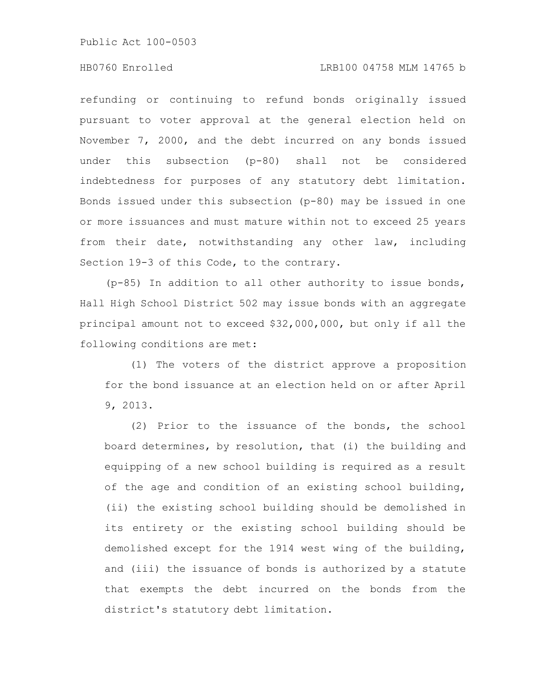### HB0760 Enrolled LRB100 04758 MLM 14765 b

refunding or continuing to refund bonds originally issued pursuant to voter approval at the general election held on November 7, 2000, and the debt incurred on any bonds issued under this subsection (p-80) shall not be considered indebtedness for purposes of any statutory debt limitation. Bonds issued under this subsection (p-80) may be issued in one or more issuances and must mature within not to exceed 25 years from their date, notwithstanding any other law, including Section 19-3 of this Code, to the contrary.

(p-85) In addition to all other authority to issue bonds, Hall High School District 502 may issue bonds with an aggregate principal amount not to exceed \$32,000,000, but only if all the following conditions are met:

(1) The voters of the district approve a proposition for the bond issuance at an election held on or after April 9, 2013.

(2) Prior to the issuance of the bonds, the school board determines, by resolution, that (i) the building and equipping of a new school building is required as a result of the age and condition of an existing school building, (ii) the existing school building should be demolished in its entirety or the existing school building should be demolished except for the 1914 west wing of the building, and (iii) the issuance of bonds is authorized by a statute that exempts the debt incurred on the bonds from the district's statutory debt limitation.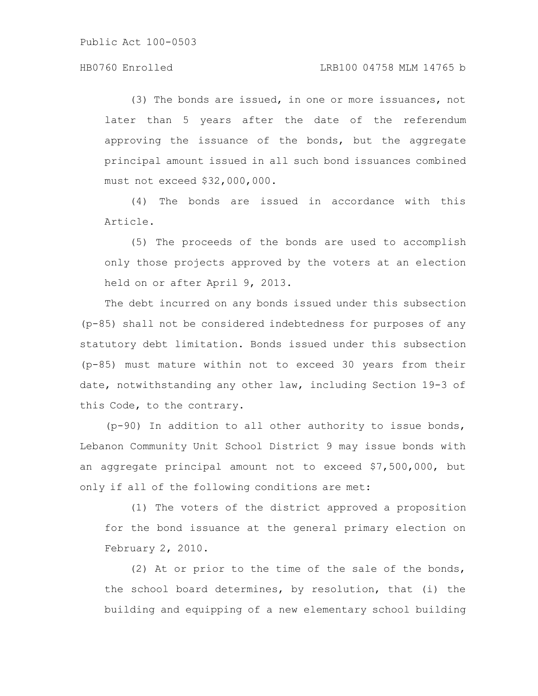#### HB0760 Enrolled LRB100 04758 MLM 14765 b

(3) The bonds are issued, in one or more issuances, not later than 5 years after the date of the referendum approving the issuance of the bonds, but the aggregate principal amount issued in all such bond issuances combined must not exceed \$32,000,000.

(4) The bonds are issued in accordance with this Article.

(5) The proceeds of the bonds are used to accomplish only those projects approved by the voters at an election held on or after April 9, 2013.

The debt incurred on any bonds issued under this subsection (p-85) shall not be considered indebtedness for purposes of any statutory debt limitation. Bonds issued under this subsection (p-85) must mature within not to exceed 30 years from their date, notwithstanding any other law, including Section 19-3 of this Code, to the contrary.

(p-90) In addition to all other authority to issue bonds, Lebanon Community Unit School District 9 may issue bonds with an aggregate principal amount not to exceed \$7,500,000, but only if all of the following conditions are met:

(1) The voters of the district approved a proposition for the bond issuance at the general primary election on February 2, 2010.

(2) At or prior to the time of the sale of the bonds, the school board determines, by resolution, that (i) the building and equipping of a new elementary school building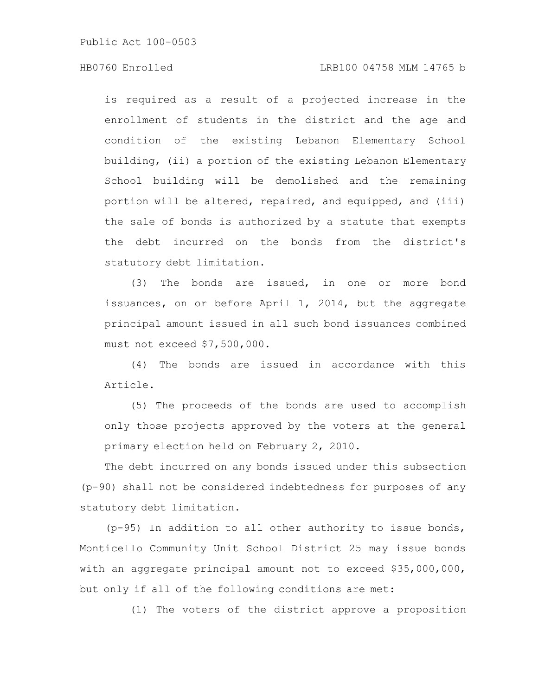### HB0760 Enrolled LRB100 04758 MLM 14765 b

is required as a result of a projected increase in the enrollment of students in the district and the age and condition of the existing Lebanon Elementary School building, (ii) a portion of the existing Lebanon Elementary School building will be demolished and the remaining portion will be altered, repaired, and equipped, and (iii) the sale of bonds is authorized by a statute that exempts the debt incurred on the bonds from the district's statutory debt limitation.

(3) The bonds are issued, in one or more bond issuances, on or before April 1, 2014, but the aggregate principal amount issued in all such bond issuances combined must not exceed \$7,500,000.

(4) The bonds are issued in accordance with this Article.

(5) The proceeds of the bonds are used to accomplish only those projects approved by the voters at the general primary election held on February 2, 2010.

The debt incurred on any bonds issued under this subsection (p-90) shall not be considered indebtedness for purposes of any statutory debt limitation.

(p-95) In addition to all other authority to issue bonds, Monticello Community Unit School District 25 may issue bonds with an aggregate principal amount not to exceed \$35,000,000, but only if all of the following conditions are met:

(1) The voters of the district approve a proposition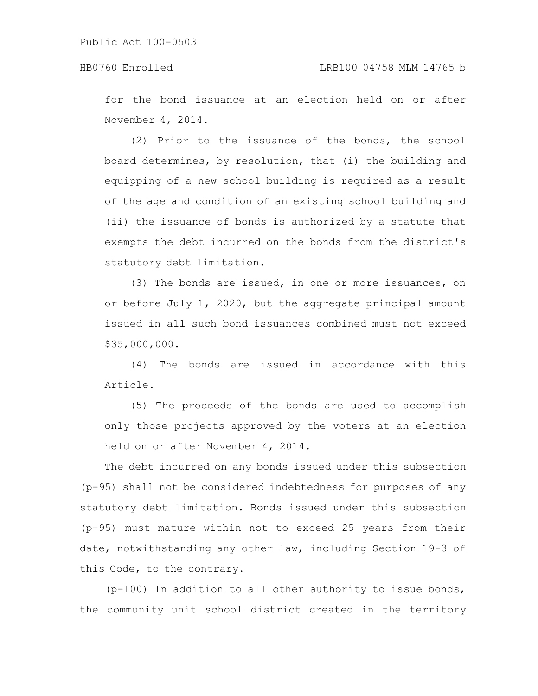for the bond issuance at an election held on or after November 4, 2014.

(2) Prior to the issuance of the bonds, the school board determines, by resolution, that (i) the building and equipping of a new school building is required as a result of the age and condition of an existing school building and (ii) the issuance of bonds is authorized by a statute that exempts the debt incurred on the bonds from the district's statutory debt limitation.

(3) The bonds are issued, in one or more issuances, on or before July 1, 2020, but the aggregate principal amount issued in all such bond issuances combined must not exceed \$35,000,000.

(4) The bonds are issued in accordance with this Article.

(5) The proceeds of the bonds are used to accomplish only those projects approved by the voters at an election held on or after November 4, 2014.

The debt incurred on any bonds issued under this subsection (p-95) shall not be considered indebtedness for purposes of any statutory debt limitation. Bonds issued under this subsection (p-95) must mature within not to exceed 25 years from their date, notwithstanding any other law, including Section 19-3 of this Code, to the contrary.

(p-100) In addition to all other authority to issue bonds, the community unit school district created in the territory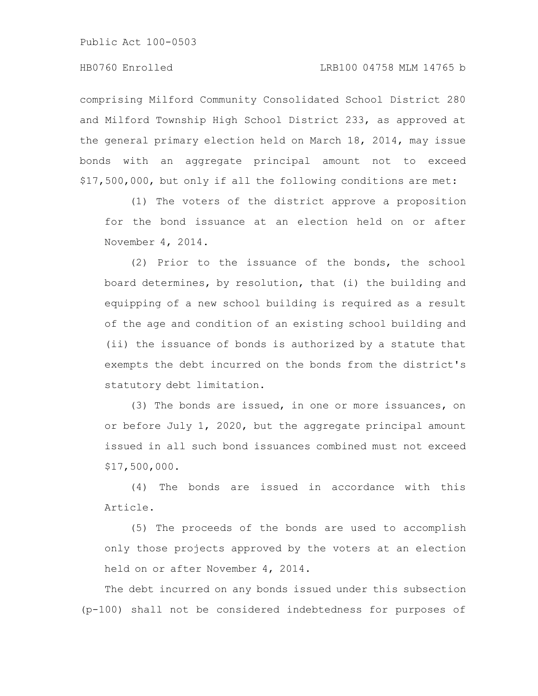comprising Milford Community Consolidated School District 280 and Milford Township High School District 233, as approved at the general primary election held on March 18, 2014, may issue bonds with an aggregate principal amount not to exceed \$17,500,000, but only if all the following conditions are met:

(1) The voters of the district approve a proposition for the bond issuance at an election held on or after November 4, 2014.

(2) Prior to the issuance of the bonds, the school board determines, by resolution, that (i) the building and equipping of a new school building is required as a result of the age and condition of an existing school building and (ii) the issuance of bonds is authorized by a statute that exempts the debt incurred on the bonds from the district's statutory debt limitation.

(3) The bonds are issued, in one or more issuances, on or before July 1, 2020, but the aggregate principal amount issued in all such bond issuances combined must not exceed \$17,500,000.

(4) The bonds are issued in accordance with this Article.

(5) The proceeds of the bonds are used to accomplish only those projects approved by the voters at an election held on or after November 4, 2014.

The debt incurred on any bonds issued under this subsection (p-100) shall not be considered indebtedness for purposes of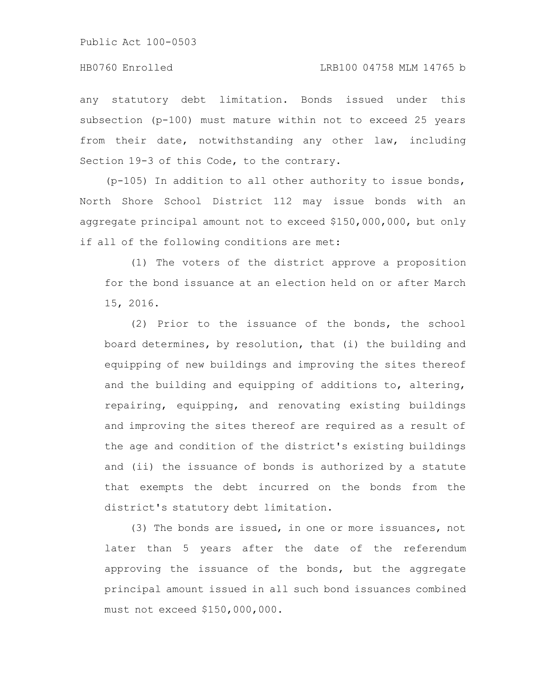any statutory debt limitation. Bonds issued under this subsection (p-100) must mature within not to exceed 25 years from their date, notwithstanding any other law, including Section 19-3 of this Code, to the contrary.

(p-105) In addition to all other authority to issue bonds, North Shore School District 112 may issue bonds with an aggregate principal amount not to exceed \$150,000,000, but only if all of the following conditions are met:

(1) The voters of the district approve a proposition for the bond issuance at an election held on or after March 15, 2016.

(2) Prior to the issuance of the bonds, the school board determines, by resolution, that (i) the building and equipping of new buildings and improving the sites thereof and the building and equipping of additions to, altering, repairing, equipping, and renovating existing buildings and improving the sites thereof are required as a result of the age and condition of the district's existing buildings and (ii) the issuance of bonds is authorized by a statute that exempts the debt incurred on the bonds from the district's statutory debt limitation.

(3) The bonds are issued, in one or more issuances, not later than 5 years after the date of the referendum approving the issuance of the bonds, but the aggregate principal amount issued in all such bond issuances combined must not exceed \$150,000,000.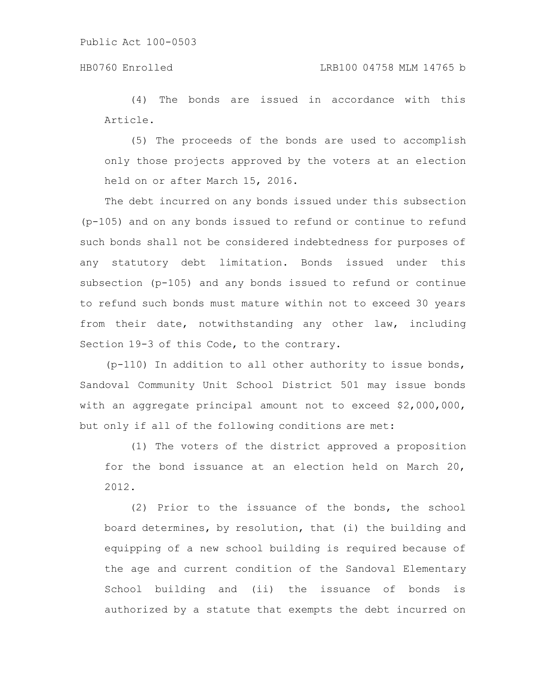### HB0760 Enrolled LRB100 04758 MLM 14765 b

(4) The bonds are issued in accordance with this Article.

(5) The proceeds of the bonds are used to accomplish only those projects approved by the voters at an election held on or after March 15, 2016.

The debt incurred on any bonds issued under this subsection (p-105) and on any bonds issued to refund or continue to refund such bonds shall not be considered indebtedness for purposes of any statutory debt limitation. Bonds issued under this subsection (p-105) and any bonds issued to refund or continue to refund such bonds must mature within not to exceed 30 years from their date, notwithstanding any other law, including Section 19-3 of this Code, to the contrary.

 $(p-110)$  In addition to all other authority to issue bonds, Sandoval Community Unit School District 501 may issue bonds with an aggregate principal amount not to exceed \$2,000,000, but only if all of the following conditions are met:

(1) The voters of the district approved a proposition for the bond issuance at an election held on March 20, 2012.

(2) Prior to the issuance of the bonds, the school board determines, by resolution, that (i) the building and equipping of a new school building is required because of the age and current condition of the Sandoval Elementary School building and (ii) the issuance of bonds is authorized by a statute that exempts the debt incurred on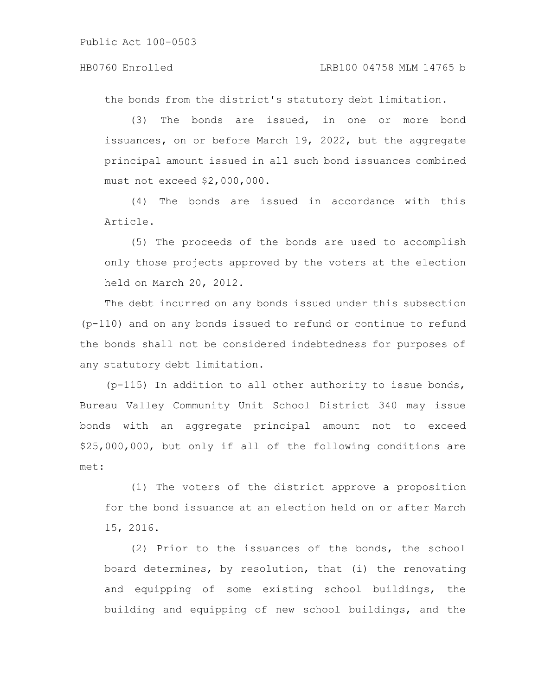#### HB0760 Enrolled LRB100 04758 MLM 14765 b

the bonds from the district's statutory debt limitation.

(3) The bonds are issued, in one or more bond issuances, on or before March 19, 2022, but the aggregate principal amount issued in all such bond issuances combined must not exceed \$2,000,000.

(4) The bonds are issued in accordance with this Article.

(5) The proceeds of the bonds are used to accomplish only those projects approved by the voters at the election held on March 20, 2012.

The debt incurred on any bonds issued under this subsection (p-110) and on any bonds issued to refund or continue to refund the bonds shall not be considered indebtedness for purposes of any statutory debt limitation.

(p-115) In addition to all other authority to issue bonds, Bureau Valley Community Unit School District 340 may issue bonds with an aggregate principal amount not to exceed \$25,000,000, but only if all of the following conditions are met:

(1) The voters of the district approve a proposition for the bond issuance at an election held on or after March 15, 2016.

(2) Prior to the issuances of the bonds, the school board determines, by resolution, that (i) the renovating and equipping of some existing school buildings, the building and equipping of new school buildings, and the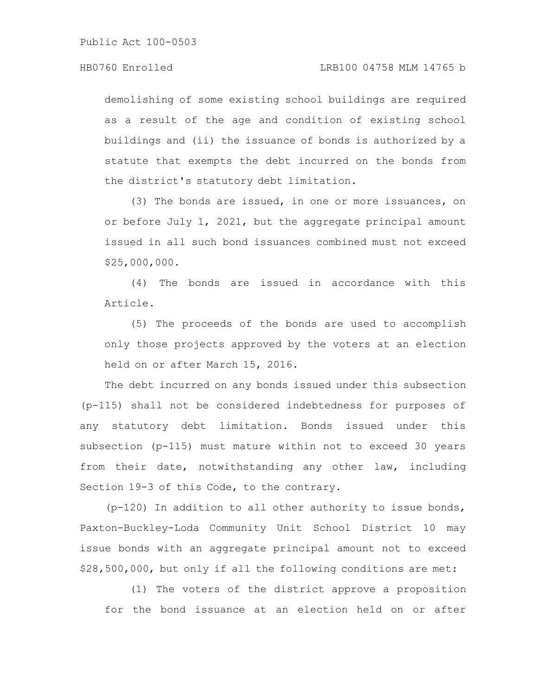demolishing of some existing school buildings are required as a result of the age and condition of existing school buildings and (ii) the issuance of bonds is authorized by a statute that exempts the debt incurred on the bonds from the district's statutory debt limitation.

(3) The bonds are issued, in one or more issuances, on or before July 1, 2021, but the aggregate principal amount issued in all such bond issuances combined must not exceed \$25,000,000.

(4) The bonds are issued in accordance with this Article.

(5) The proceeds of the bonds are used to accomplish only those projects approved by the voters at an election held on or after March 15, 2016.

The debt incurred on any bonds issued under this subsection (p-115) shall not be considered indebtedness for purposes of any statutory debt limitation. Bonds issued under this subsection (p-115) must mature within not to exceed 30 years from their date, notwithstanding any other law, including Section 19-3 of this Code, to the contrary.

(p-120) In addition to all other authority to issue bonds, Paxton-Buckley-Loda Community Unit School District 10 may issue bonds with an aggregate principal amount not to exceed \$28,500,000, but only if all the following conditions are met:

(1) The voters of the district approve a proposition for the bond issuance at an election held on or after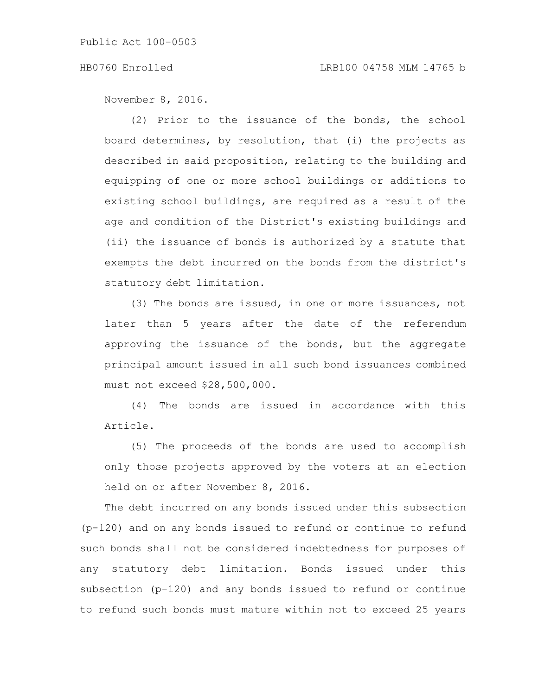November 8, 2016.

(2) Prior to the issuance of the bonds, the school board determines, by resolution, that (i) the projects as described in said proposition, relating to the building and equipping of one or more school buildings or additions to existing school buildings, are required as a result of the age and condition of the District's existing buildings and (ii) the issuance of bonds is authorized by a statute that exempts the debt incurred on the bonds from the district's statutory debt limitation.

(3) The bonds are issued, in one or more issuances, not later than 5 years after the date of the referendum approving the issuance of the bonds, but the aggregate principal amount issued in all such bond issuances combined must not exceed \$28,500,000.

(4) The bonds are issued in accordance with this Article.

(5) The proceeds of the bonds are used to accomplish only those projects approved by the voters at an election held on or after November 8, 2016.

The debt incurred on any bonds issued under this subsection (p-120) and on any bonds issued to refund or continue to refund such bonds shall not be considered indebtedness for purposes of any statutory debt limitation. Bonds issued under this subsection (p-120) and any bonds issued to refund or continue to refund such bonds must mature within not to exceed 25 years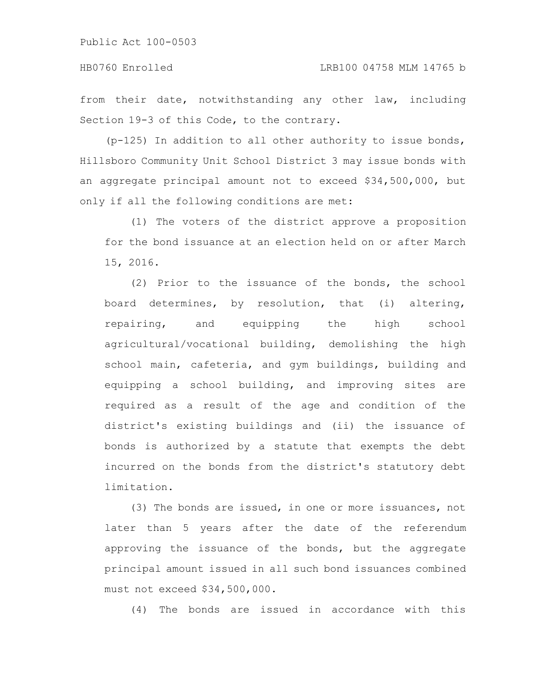#### HB0760 Enrolled LRB100 04758 MLM 14765 b

from their date, notwithstanding any other law, including Section 19-3 of this Code, to the contrary.

(p-125) In addition to all other authority to issue bonds, Hillsboro Community Unit School District 3 may issue bonds with an aggregate principal amount not to exceed \$34,500,000, but only if all the following conditions are met:

(1) The voters of the district approve a proposition for the bond issuance at an election held on or after March 15, 2016.

(2) Prior to the issuance of the bonds, the school board determines, by resolution, that (i) altering, repairing, and equipping the high school agricultural/vocational building, demolishing the high school main, cafeteria, and gym buildings, building and equipping a school building, and improving sites are required as a result of the age and condition of the district's existing buildings and (ii) the issuance of bonds is authorized by a statute that exempts the debt incurred on the bonds from the district's statutory debt limitation.

(3) The bonds are issued, in one or more issuances, not later than 5 years after the date of the referendum approving the issuance of the bonds, but the aggregate principal amount issued in all such bond issuances combined must not exceed \$34,500,000.

(4) The bonds are issued in accordance with this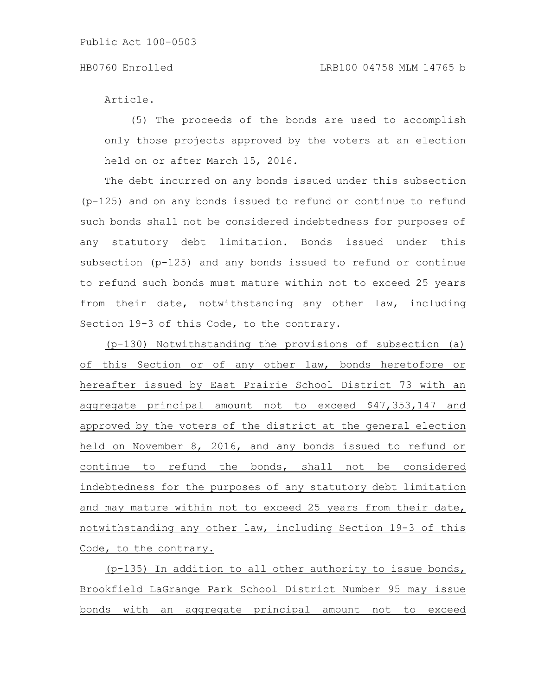Article.

(5) The proceeds of the bonds are used to accomplish only those projects approved by the voters at an election held on or after March 15, 2016.

The debt incurred on any bonds issued under this subsection (p-125) and on any bonds issued to refund or continue to refund such bonds shall not be considered indebtedness for purposes of any statutory debt limitation. Bonds issued under this subsection (p-125) and any bonds issued to refund or continue to refund such bonds must mature within not to exceed 25 years from their date, notwithstanding any other law, including Section 19-3 of this Code, to the contrary.

(p-130) Notwithstanding the provisions of subsection (a) of this Section or of any other law, bonds heretofore or hereafter issued by East Prairie School District 73 with an aggregate principal amount not to exceed \$47,353,147 and approved by the voters of the district at the general election held on November 8, 2016, and any bonds issued to refund or continue to refund the bonds, shall not be considered indebtedness for the purposes of any statutory debt limitation and may mature within not to exceed 25 years from their date, notwithstanding any other law, including Section 19-3 of this Code, to the contrary.

(p-135) In addition to all other authority to issue bonds, Brookfield LaGrange Park School District Number 95 may issue bonds with an aggregate principal amount not to exceed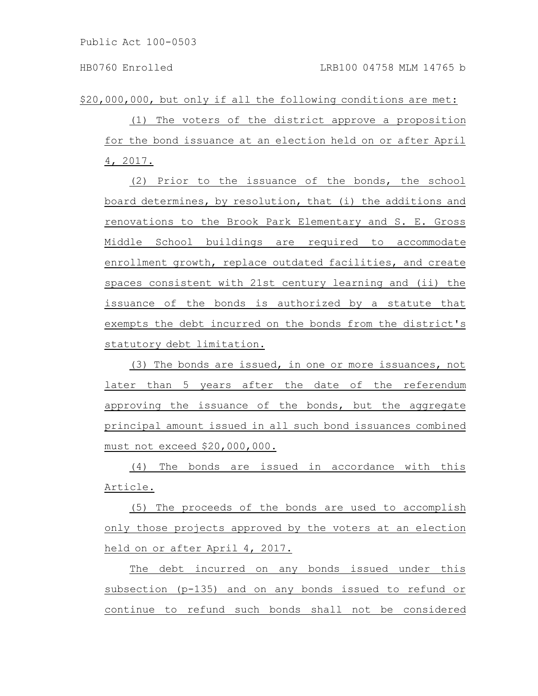\$20,000,000, but only if all the following conditions are met:

(1) The voters of the district approve a proposition for the bond issuance at an election held on or after April 4, 2017.

(2) Prior to the issuance of the bonds, the school board determines, by resolution, that (i) the additions and renovations to the Brook Park Elementary and S. E. Gross Middle School buildings are required to accommodate enrollment growth, replace outdated facilities, and create spaces consistent with 21st century learning and (ii) the issuance of the bonds is authorized by a statute that exempts the debt incurred on the bonds from the district's statutory debt limitation.

(3) The bonds are issued, in one or more issuances, not later than 5 years after the date of the referendum approving the issuance of the bonds, but the aggregate principal amount issued in all such bond issuances combined must not exceed \$20,000,000.

(4) The bonds are issued in accordance with this Article.

(5) The proceeds of the bonds are used to accomplish only those projects approved by the voters at an election held on or after April 4, 2017.

The debt incurred on any bonds issued under this subsection (p-135) and on any bonds issued to refund or continue to refund such bonds shall not be considered